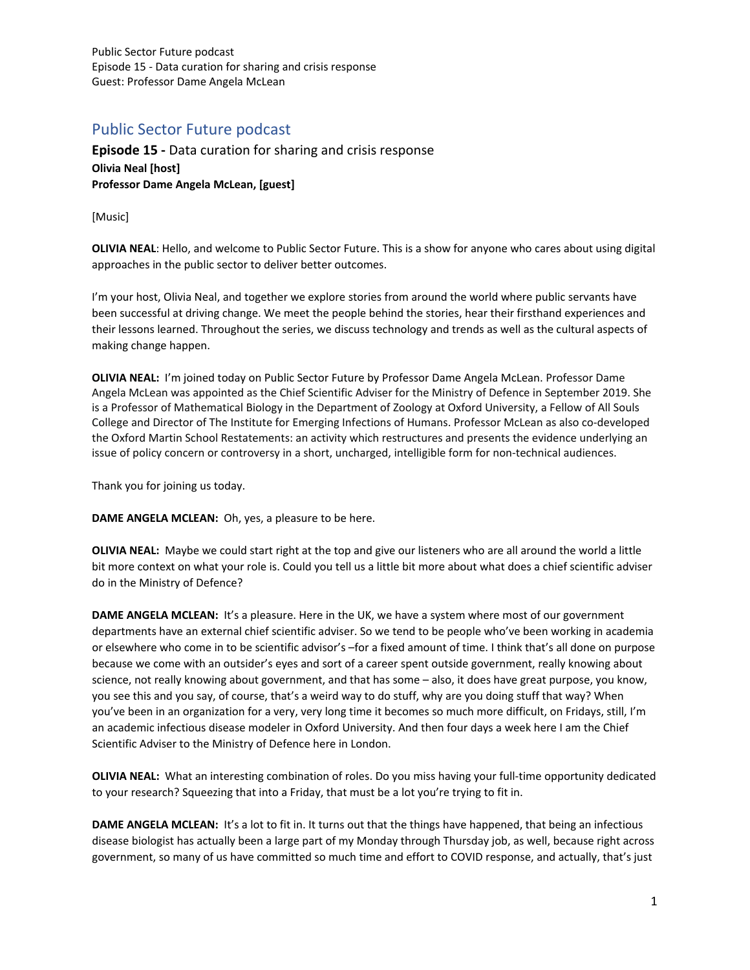## Public Sector Future podcast

**Episode 15 -** Data curation for sharing and crisis response **Olivia Neal [host] Professor Dame Angela McLean, [guest]**

[Music]

**OLIVIA NEAL**: Hello, and welcome to Public Sector Future. This is a show for anyone who cares about using digital approaches in the public sector to deliver better outcomes.

I'm your host, Olivia Neal, and together we explore stories from around the world where public servants have been successful at driving change. We meet the people behind the stories, hear their firsthand experiences and their lessons learned. Throughout the series, we discuss technology and trends as well as the cultural aspects of making change happen.

**OLIVIA NEAL:** I'm joined today on Public Sector Future by Professor Dame Angela McLean. Professor Dame Angela McLean was appointed as the Chief Scientific Adviser for the Ministry of Defence in September 2019. She is a Professor of Mathematical Biology in the Department of Zoology at Oxford University, a Fellow of All Souls College and Director of The Institute for Emerging Infections of Humans. Professor McLean as also co-developed the Oxford Martin School Restatements: an activity which restructures and presents the evidence underlying an issue of policy concern or controversy in a short, uncharged, intelligible form for non-technical audiences.

Thank you for joining us today.

**DAME ANGELA MCLEAN:** Oh, yes, a pleasure to be here.

**OLIVIA NEAL:** Maybe we could start right at the top and give our listeners who are all around the world a little bit more context on what your role is. Could you tell us a little bit more about what does a chief scientific adviser do in the Ministry of Defence?

**DAME ANGELA MCLEAN:** It's a pleasure. Here in the UK, we have a system where most of our government departments have an external chief scientific adviser. So we tend to be people who've been working in academia or elsewhere who come in to be scientific advisor's –for a fixed amount of time. I think that's all done on purpose because we come with an outsider's eyes and sort of a career spent outside government, really knowing about science, not really knowing about government, and that has some – also, it does have great purpose, you know, you see this and you say, of course, that's a weird way to do stuff, why are you doing stuff that way? When you've been in an organization for a very, very long time it becomes so much more difficult, on Fridays, still, I'm an academic infectious disease modeler in Oxford University. And then four days a week here I am the Chief Scientific Adviser to the Ministry of Defence here in London.

**OLIVIA NEAL:** What an interesting combination of roles. Do you miss having your full-time opportunity dedicated to your research? Squeezing that into a Friday, that must be a lot you're trying to fit in.

**DAME ANGELA MCLEAN:** It's a lot to fit in. It turns out that the things have happened, that being an infectious disease biologist has actually been a large part of my Monday through Thursday job, as well, because right across government, so many of us have committed so much time and effort to COVID response, and actually, that's just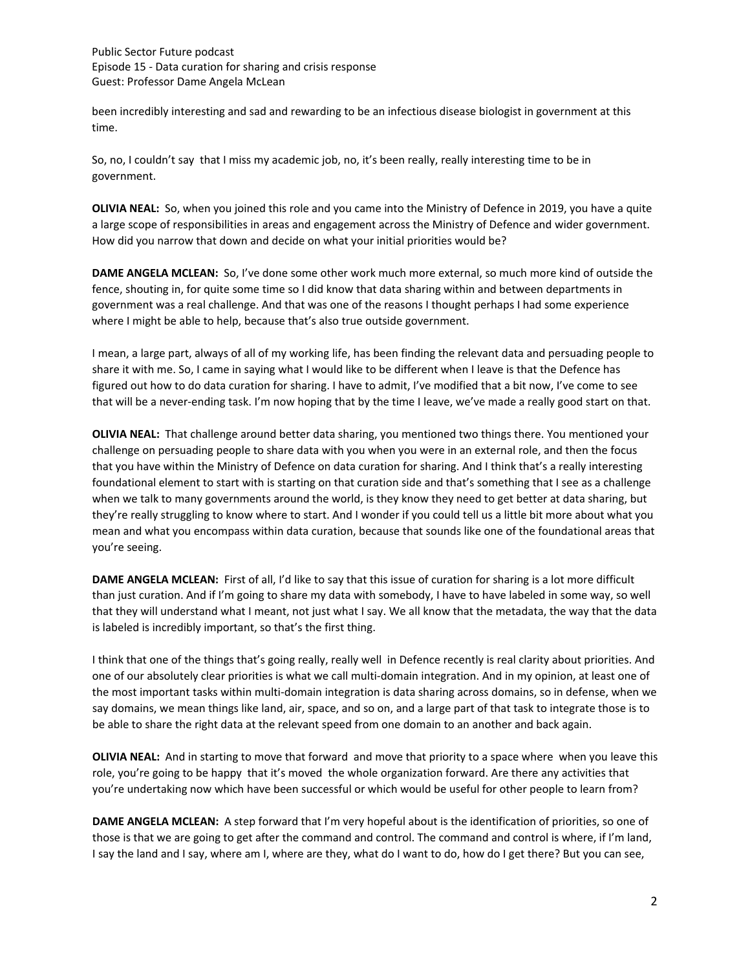been incredibly interesting and sad and rewarding to be an infectious disease biologist in government at this time.

So, no, I couldn't say that I miss my academic job, no, it's been really, really interesting time to be in government.

**OLIVIA NEAL:** So, when you joined this role and you came into the Ministry of Defence in 2019, you have a quite a large scope of responsibilities in areas and engagement across the Ministry of Defence and wider government. How did you narrow that down and decide on what your initial priorities would be?

**DAME ANGELA MCLEAN:** So, I've done some other work much more external, so much more kind of outside the fence, shouting in, for quite some time so I did know that data sharing within and between departments in government was a real challenge. And that was one of the reasons I thought perhaps I had some experience where I might be able to help, because that's also true outside government.

I mean, a large part, always of all of my working life, has been finding the relevant data and persuading people to share it with me. So, I came in saying what I would like to be different when I leave is that the Defence has figured out how to do data curation for sharing. I have to admit, I've modified that a bit now, I've come to see that will be a never-ending task. I'm now hoping that by the time I leave, we've made a really good start on that.

**OLIVIA NEAL:** That challenge around better data sharing, you mentioned two things there. You mentioned your challenge on persuading people to share data with you when you were in an external role, and then the focus that you have within the Ministry of Defence on data curation for sharing. And I think that's a really interesting foundational element to start with is starting on that curation side and that's something that I see as a challenge when we talk to many governments around the world, is they know they need to get better at data sharing, but they're really struggling to know where to start. And I wonder if you could tell us a little bit more about what you mean and what you encompass within data curation, because that sounds like one of the foundational areas that you're seeing.

**DAME ANGELA MCLEAN:** First of all, I'd like to say that this issue of curation for sharing is a lot more difficult than just curation. And if I'm going to share my data with somebody, I have to have labeled in some way, so well that they will understand what I meant, not just what I say. We all know that the metadata, the way that the data is labeled is incredibly important, so that's the first thing.

I think that one of the things that's going really, really well in Defence recently is real clarity about priorities. And one of our absolutely clear priorities is what we call multi-domain integration. And in my opinion, at least one of the most important tasks within multi-domain integration is data sharing across domains, so in defense, when we say domains, we mean things like land, air, space, and so on, and a large part of that task to integrate those is to be able to share the right data at the relevant speed from one domain to an another and back again.

**OLIVIA NEAL:** And in starting to move that forward and move that priority to a space where when you leave this role, you're going to be happy that it's moved the whole organization forward. Are there any activities that you're undertaking now which have been successful or which would be useful for other people to learn from?

**DAME ANGELA MCLEAN:** A step forward that I'm very hopeful about is the identification of priorities, so one of those is that we are going to get after the command and control. The command and control is where, if I'm land, I say the land and I say, where am I, where are they, what do I want to do, how do I get there? But you can see,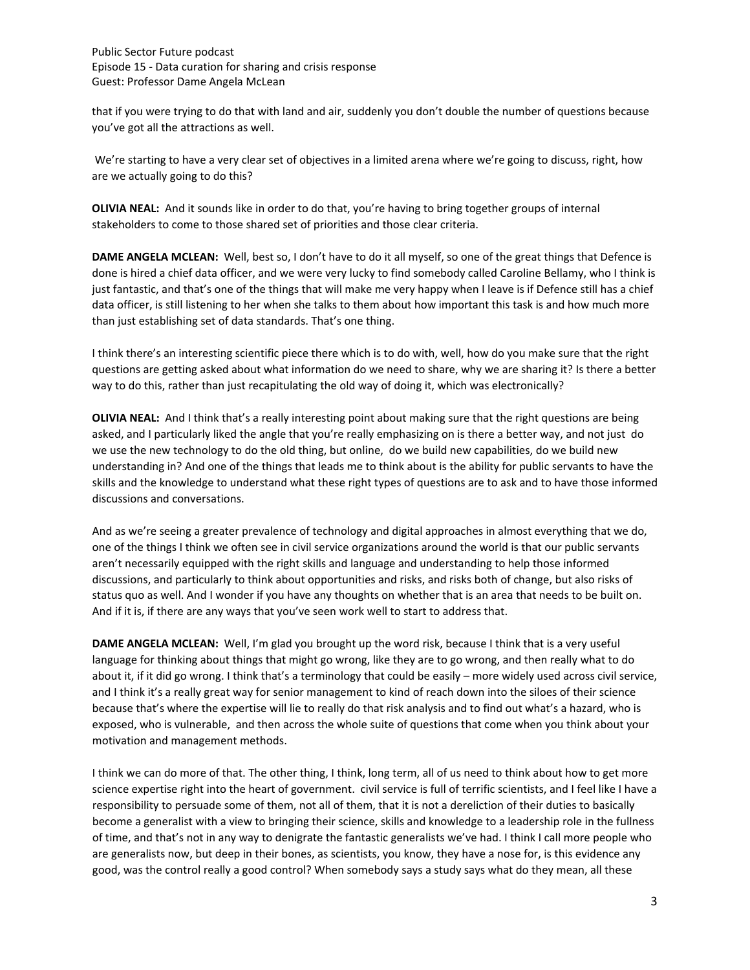that if you were trying to do that with land and air, suddenly you don't double the number of questions because you've got all the attractions as well.

We're starting to have a very clear set of objectives in a limited arena where we're going to discuss, right, how are we actually going to do this?

**OLIVIA NEAL:** And it sounds like in order to do that, you're having to bring together groups of internal stakeholders to come to those shared set of priorities and those clear criteria.

**DAME ANGELA MCLEAN:** Well, best so, I don't have to do it all myself, so one of the great things that Defence is done is hired a chief data officer, and we were very lucky to find somebody called Caroline Bellamy, who I think is just fantastic, and that's one of the things that will make me very happy when I leave is if Defence still has a chief data officer, is still listening to her when she talks to them about how important this task is and how much more than just establishing set of data standards. That's one thing.

I think there's an interesting scientific piece there which is to do with, well, how do you make sure that the right questions are getting asked about what information do we need to share, why we are sharing it? Is there a better way to do this, rather than just recapitulating the old way of doing it, which was electronically?

**OLIVIA NEAL:** And I think that's a really interesting point about making sure that the right questions are being asked, and I particularly liked the angle that you're really emphasizing on is there a better way, and not just do we use the new technology to do the old thing, but online, do we build new capabilities, do we build new understanding in? And one of the things that leads me to think about is the ability for public servants to have the skills and the knowledge to understand what these right types of questions are to ask and to have those informed discussions and conversations.

And as we're seeing a greater prevalence of technology and digital approaches in almost everything that we do, one of the things I think we often see in civil service organizations around the world is that our public servants aren't necessarily equipped with the right skills and language and understanding to help those informed discussions, and particularly to think about opportunities and risks, and risks both of change, but also risks of status quo as well. And I wonder if you have any thoughts on whether that is an area that needs to be built on. And if it is, if there are any ways that you've seen work well to start to address that.

**DAME ANGELA MCLEAN:** Well, I'm glad you brought up the word risk, because I think that is a very useful language for thinking about things that might go wrong, like they are to go wrong, and then really what to do about it, if it did go wrong. I think that's a terminology that could be easily – more widely used across civil service, and I think it's a really great way for senior management to kind of reach down into the siloes of their science because that's where the expertise will lie to really do that risk analysis and to find out what's a hazard, who is exposed, who is vulnerable, and then across the whole suite of questions that come when you think about your motivation and management methods.

I think we can do more of that. The other thing, I think, long term, all of us need to think about how to get more science expertise right into the heart of government. civil service is full of terrific scientists, and I feel like I have a responsibility to persuade some of them, not all of them, that it is not a dereliction of their duties to basically become a generalist with a view to bringing their science, skills and knowledge to a leadership role in the fullness of time, and that's not in any way to denigrate the fantastic generalists we've had. I think I call more people who are generalists now, but deep in their bones, as scientists, you know, they have a nose for, is this evidence any good, was the control really a good control? When somebody says a study says what do they mean, all these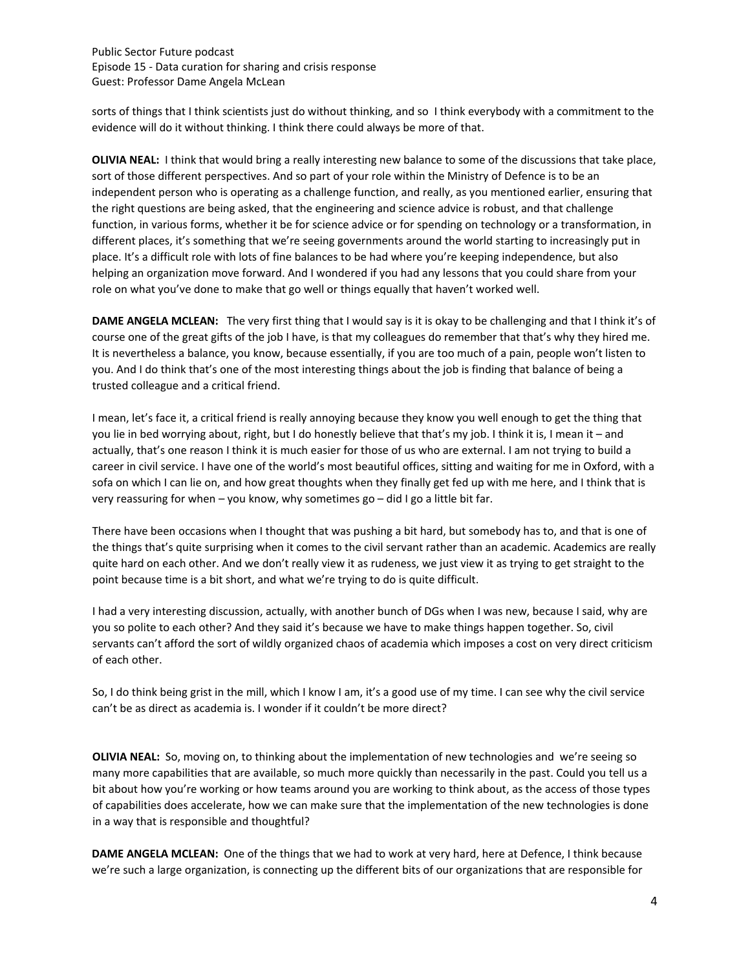sorts of things that I think scientists just do without thinking, and so I think everybody with a commitment to the evidence will do it without thinking. I think there could always be more of that.

**OLIVIA NEAL:** I think that would bring a really interesting new balance to some of the discussions that take place, sort of those different perspectives. And so part of your role within the Ministry of Defence is to be an independent person who is operating as a challenge function, and really, as you mentioned earlier, ensuring that the right questions are being asked, that the engineering and science advice is robust, and that challenge function, in various forms, whether it be for science advice or for spending on technology or a transformation, in different places, it's something that we're seeing governments around the world starting to increasingly put in place. It's a difficult role with lots of fine balances to be had where you're keeping independence, but also helping an organization move forward. And I wondered if you had any lessons that you could share from your role on what you've done to make that go well or things equally that haven't worked well.

**DAME ANGELA MCLEAN:** The very first thing that I would say is it is okay to be challenging and that I think it's of course one of the great gifts of the job I have, is that my colleagues do remember that that's why they hired me. It is nevertheless a balance, you know, because essentially, if you are too much of a pain, people won't listen to you. And I do think that's one of the most interesting things about the job is finding that balance of being a trusted colleague and a critical friend.

I mean, let's face it, a critical friend is really annoying because they know you well enough to get the thing that you lie in bed worrying about, right, but I do honestly believe that that's my job. I think it is, I mean it – and actually, that's one reason I think it is much easier for those of us who are external. I am not trying to build a career in civil service. I have one of the world's most beautiful offices, sitting and waiting for me in Oxford, with a sofa on which I can lie on, and how great thoughts when they finally get fed up with me here, and I think that is very reassuring for when – you know, why sometimes go – did I go a little bit far.

There have been occasions when I thought that was pushing a bit hard, but somebody has to, and that is one of the things that's quite surprising when it comes to the civil servant rather than an academic. Academics are really quite hard on each other. And we don't really view it as rudeness, we just view it as trying to get straight to the point because time is a bit short, and what we're trying to do is quite difficult.

I had a very interesting discussion, actually, with another bunch of DGs when I was new, because I said, why are you so polite to each other? And they said it's because we have to make things happen together. So, civil servants can't afford the sort of wildly organized chaos of academia which imposes a cost on very direct criticism of each other.

So, I do think being grist in the mill, which I know I am, it's a good use of my time. I can see why the civil service can't be as direct as academia is. I wonder if it couldn't be more direct?

**OLIVIA NEAL:** So, moving on, to thinking about the implementation of new technologies and we're seeing so many more capabilities that are available, so much more quickly than necessarily in the past. Could you tell us a bit about how you're working or how teams around you are working to think about, as the access of those types of capabilities does accelerate, how we can make sure that the implementation of the new technologies is done in a way that is responsible and thoughtful?

**DAME ANGELA MCLEAN:** One of the things that we had to work at very hard, here at Defence, I think because we're such a large organization, is connecting up the different bits of our organizations that are responsible for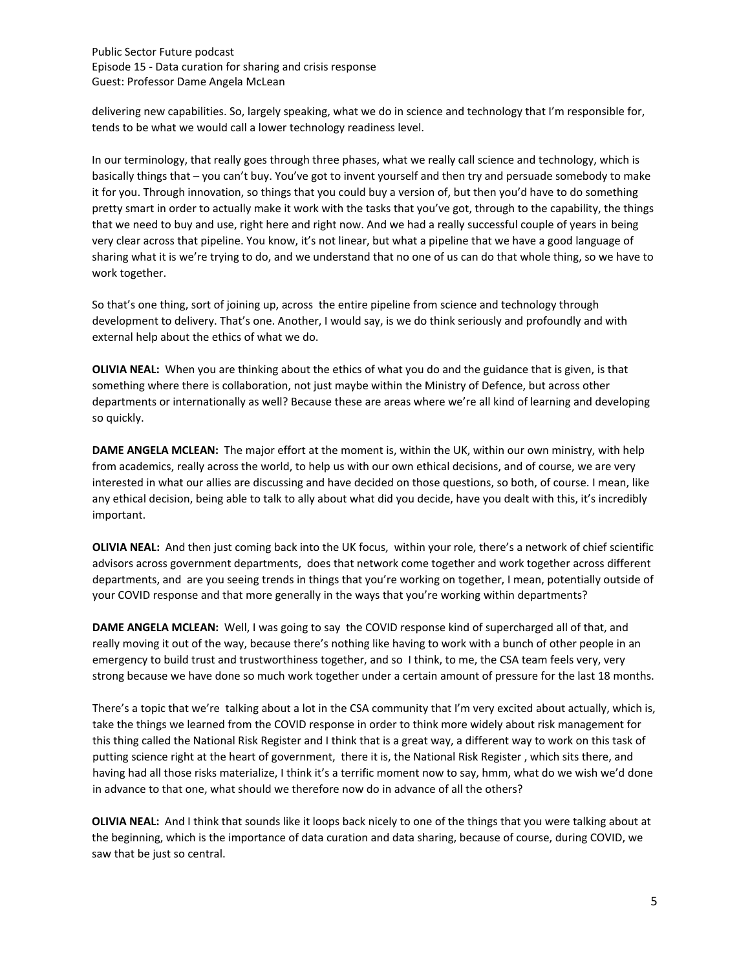delivering new capabilities. So, largely speaking, what we do in science and technology that I'm responsible for, tends to be what we would call a lower technology readiness level.

In our terminology, that really goes through three phases, what we really call science and technology, which is basically things that – you can't buy. You've got to invent yourself and then try and persuade somebody to make it for you. Through innovation, so things that you could buy a version of, but then you'd have to do something pretty smart in order to actually make it work with the tasks that you've got, through to the capability, the things that we need to buy and use, right here and right now. And we had a really successful couple of years in being very clear across that pipeline. You know, it's not linear, but what a pipeline that we have a good language of sharing what it is we're trying to do, and we understand that no one of us can do that whole thing, so we have to work together.

So that's one thing, sort of joining up, across the entire pipeline from science and technology through development to delivery. That's one. Another, I would say, is we do think seriously and profoundly and with external help about the ethics of what we do.

**OLIVIA NEAL:** When you are thinking about the ethics of what you do and the guidance that is given, is that something where there is collaboration, not just maybe within the Ministry of Defence, but across other departments or internationally as well? Because these are areas where we're all kind of learning and developing so quickly.

**DAME ANGELA MCLEAN:** The major effort at the moment is, within the UK, within our own ministry, with help from academics, really across the world, to help us with our own ethical decisions, and of course, we are very interested in what our allies are discussing and have decided on those questions, so both, of course. I mean, like any ethical decision, being able to talk to ally about what did you decide, have you dealt with this, it's incredibly important.

**OLIVIA NEAL:** And then just coming back into the UK focus, within your role, there's a network of chief scientific advisors across government departments, does that network come together and work together across different departments, and are you seeing trends in things that you're working on together, I mean, potentially outside of your COVID response and that more generally in the ways that you're working within departments?

**DAME ANGELA MCLEAN:** Well, I was going to say the COVID response kind of supercharged all of that, and really moving it out of the way, because there's nothing like having to work with a bunch of other people in an emergency to build trust and trustworthiness together, and so I think, to me, the CSA team feels very, very strong because we have done so much work together under a certain amount of pressure for the last 18 months.

There's a topic that we're talking about a lot in the CSA community that I'm very excited about actually, which is, take the things we learned from the COVID response in order to think more widely about risk management for this thing called the National Risk Register and I think that is a great way, a different way to work on this task of putting science right at the heart of government, there it is, the National Risk Register , which sits there, and having had all those risks materialize, I think it's a terrific moment now to say, hmm, what do we wish we'd done in advance to that one, what should we therefore now do in advance of all the others?

**OLIVIA NEAL:** And I think that sounds like it loops back nicely to one of the things that you were talking about at the beginning, which is the importance of data curation and data sharing, because of course, during COVID, we saw that be just so central.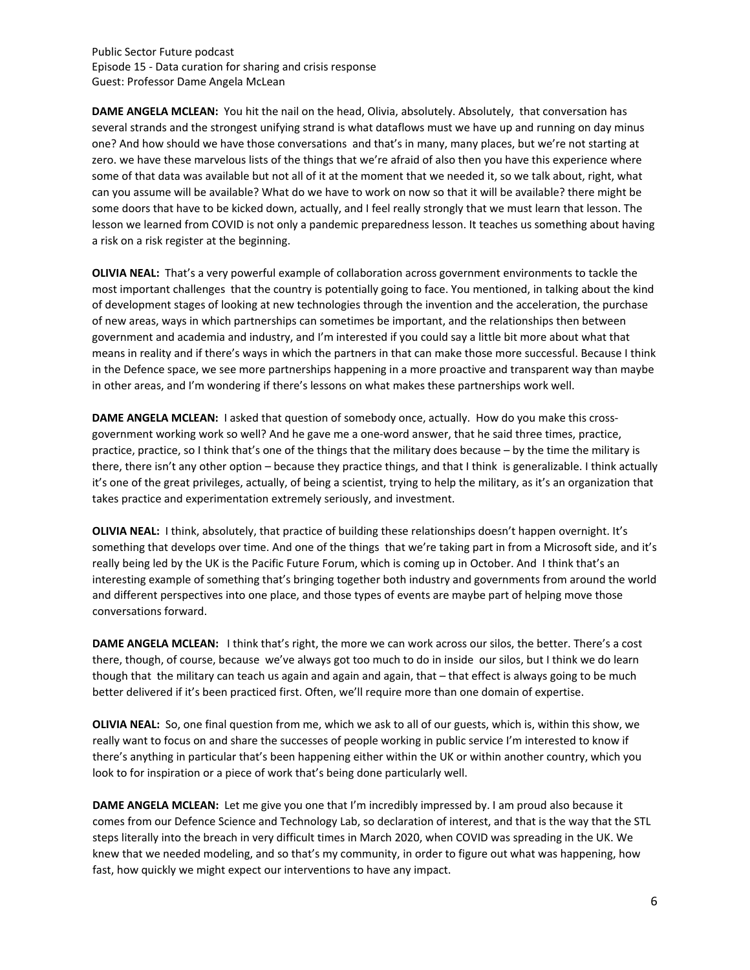**DAME ANGELA MCLEAN:** You hit the nail on the head, Olivia, absolutely. Absolutely, that conversation has several strands and the strongest unifying strand is what dataflows must we have up and running on day minus one? And how should we have those conversations and that's in many, many places, but we're not starting at zero. we have these marvelous lists of the things that we're afraid of also then you have this experience where some of that data was available but not all of it at the moment that we needed it, so we talk about, right, what can you assume will be available? What do we have to work on now so that it will be available? there might be some doors that have to be kicked down, actually, and I feel really strongly that we must learn that lesson. The lesson we learned from COVID is not only a pandemic preparedness lesson. It teaches us something about having a risk on a risk register at the beginning.

**OLIVIA NEAL:** That's a very powerful example of collaboration across government environments to tackle the most important challenges that the country is potentially going to face. You mentioned, in talking about the kind of development stages of looking at new technologies through the invention and the acceleration, the purchase of new areas, ways in which partnerships can sometimes be important, and the relationships then between government and academia and industry, and I'm interested if you could say a little bit more about what that means in reality and if there's ways in which the partners in that can make those more successful. Because I think in the Defence space, we see more partnerships happening in a more proactive and transparent way than maybe in other areas, and I'm wondering if there's lessons on what makes these partnerships work well.

**DAME ANGELA MCLEAN:** I asked that question of somebody once, actually. How do you make this crossgovernment working work so well? And he gave me a one-word answer, that he said three times, practice, practice, practice, so I think that's one of the things that the military does because – by the time the military is there, there isn't any other option – because they practice things, and that I think is generalizable. I think actually it's one of the great privileges, actually, of being a scientist, trying to help the military, as it's an organization that takes practice and experimentation extremely seriously, and investment.

**OLIVIA NEAL:** I think, absolutely, that practice of building these relationships doesn't happen overnight. It's something that develops over time. And one of the things that we're taking part in from a Microsoft side, and it's really being led by the UK is the Pacific Future Forum, which is coming up in October. And I think that's an interesting example of something that's bringing together both industry and governments from around the world and different perspectives into one place, and those types of events are maybe part of helping move those conversations forward.

**DAME ANGELA MCLEAN:** I think that's right, the more we can work across our silos, the better. There's a cost there, though, of course, because we've always got too much to do in inside our silos, but I think we do learn though that the military can teach us again and again and again, that – that effect is always going to be much better delivered if it's been practiced first. Often, we'll require more than one domain of expertise.

**OLIVIA NEAL:** So, one final question from me, which we ask to all of our guests, which is, within this show, we really want to focus on and share the successes of people working in public service I'm interested to know if there's anything in particular that's been happening either within the UK or within another country, which you look to for inspiration or a piece of work that's being done particularly well.

**DAME ANGELA MCLEAN:** Let me give you one that I'm incredibly impressed by. I am proud also because it comes from our Defence Science and Technology Lab, so declaration of interest, and that is the way that the STL steps literally into the breach in very difficult times in March 2020, when COVID was spreading in the UK. We knew that we needed modeling, and so that's my community, in order to figure out what was happening, how fast, how quickly we might expect our interventions to have any impact.